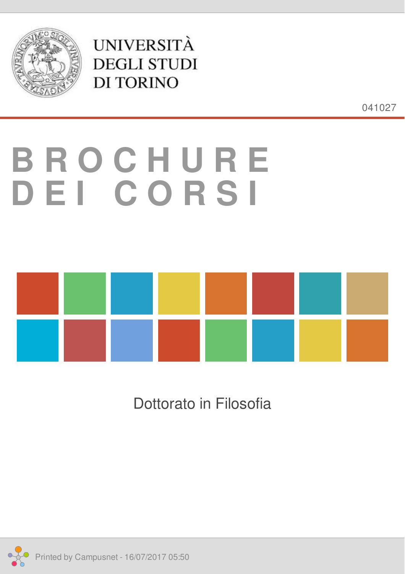<span id="page-0-0"></span>

**UNIVERSITÀ DEGLI STUDI DI TORINO** 

041027

# **B R O C H U R E D E I C O R S I**



Dottorato in Filosofia

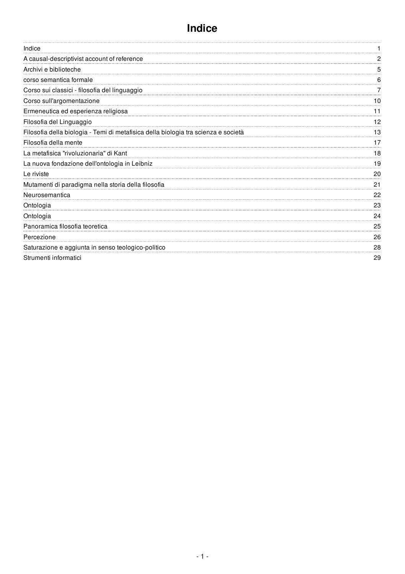<span id="page-1-0"></span>

| Indice                                                                             |    |
|------------------------------------------------------------------------------------|----|
| A causal-descriptivist account of reference                                        |    |
| Archivi e biblioteche                                                              | 5  |
| corso semantica formale                                                            | 6  |
| Corso sui classici - filosofia del linguaggio                                      |    |
| Corso sull'argomentazione                                                          | 10 |
| Ermeneutica ed esperienza religiosa                                                | 11 |
| Filosofia del Linguaggio                                                           | 12 |
| Filosofia della biologia - Temi di metafisica della biologia tra scienza e società | 13 |
| Filosofia della mente                                                              | 17 |
| La metafisica "rivoluzionaria" di Kant                                             | 18 |
| La nuova fondazione dell'ontologia in Leibniz                                      | 19 |
| Le riviste                                                                         | 20 |
| Mutamenti di paradigma nella storia della filosofia                                | 21 |
| Neurosemantica                                                                     | 22 |
| Ontologia                                                                          | 23 |
| Ontologia                                                                          | 24 |
| Panoramica filosofia teoretica                                                     | 25 |
| Percezione                                                                         | 26 |
| Saturazione e aggiunta in senso teologico-politico                                 | 28 |
| Strumenti informatici                                                              | 29 |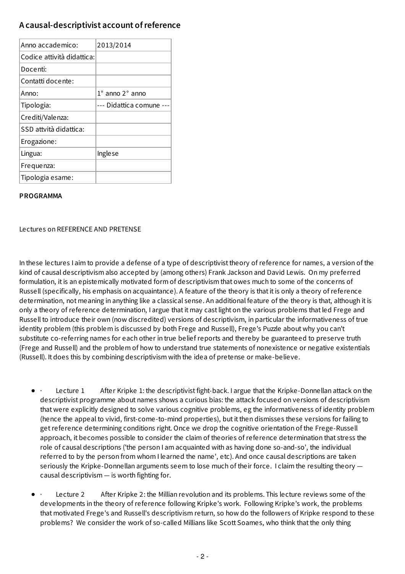## **A causal-descriptivist account ofreference**

| Anno accademico:           | 2013/2014                     |
|----------------------------|-------------------------------|
| Codice attività didattica: |                               |
| Docenti:                   |                               |
| Contatti docente:          |                               |
| Anno:                      | $1^\circ$ anno $2^\circ$ anno |
| Tipologia:                 | --- Didattica comune          |
| Crediti/Valenza:           |                               |
| SSD attvità didattica:     |                               |
| Erogazione:                |                               |
| Lingua:                    | <b>Inglese</b>                |
| Frequenza:                 |                               |
| Tipologia esame:           |                               |

#### **PROGRAMMA**

Lectures on REFERENCE AND PRETENSE

In these lectures I aim to provide a defense of a type of descriptivisttheory of reference for names, a version of the kind of causal descriptivism also accepted by (among others) Frank Jackson and David Lewis. On my preferred formulation, it is an epistemically motivated form of descriptivism that owes much to some of the concerns of Russell (specifically, his emphasis on acquaintance). A feature of the theory is thatitis only a theory of reference determination, not meaning in anything like a classical sense. An additional feature of the theory is that, although it is only a theory of reference determination, I argue thatit may castlight on the various problems thatled Frege and Russell to introduce their own (now discredited) versions of descriptivism, in particular the informativeness of true identity problem (this problem is discussed by both Frege and Russell), Frege's Puzzle about why you can't substitute co-referring names for each other in true belief reports and thereby be guaranteed to preserve truth (Frege and Russell) and the problem of how to understand true statements of nonexistence or negative existentials (Russell). It does this by combining descriptivism with the idea of pretense or make-believe.

- Lecture 1 After Kripke 1: the descriptivist fight-back. I argue that the Kripke-Donnellan attack on the descriptivist programme about names shows a curious bias: the attack focused on versions of descriptivism that were explicitly designed to solve various cognitive problems, eg the informativeness of identity problem (hence the appeal to vivid, first-come-to-mind properties), butitthen dismisses these versions for failing to getreference determining conditions right. Once we drop the cognitive orientation of the Frege-Russell approach, it becomes possible to consider the claim of theories of reference determination that stress the role of causal descriptions ('the person I am acquainted with as having done so-and-so', the individual referred to by the person from whom I learned the name', etc). And once causal descriptions are taken seriously the Kripke-Donnellan arguments seem to lose much of their force. I claim the resulting theory causal descriptivism — is worth fighting for.
- Lecture 2 After Kripke 2: the Millian revolution and its problems. This lecture reviews some of the developments in the theory of reference following Kripke's work. Following Kripke's work, the problems that motivated Frege's and Russell's descriptivism return, so how do the followers of Kripke respond to these problems? We consider the work of so-called Millians like Scott Soames, who think that the only thing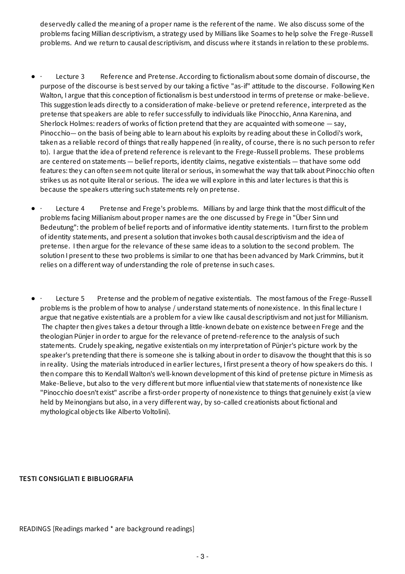deservedly called the meaning of a proper name is the referent of the name. We also discuss some of the problems facing Millian descriptivism, a strategy used by Millians like Soames to help solve the Frege-Russell problems. And we return to causal descriptivism, and discuss where it stands in relation to these problems.

- Lecture 3 Reference and Pretense. According to fictionalism about some domain of discourse, the purpose of the discourse is best served by our taking a fictive "as-if" attitude to the discourse. Following Ken Walton, I argue that this conception of fictionalism is best understood in terms of pretense or make-believe. This suggestion leads directly to a consideration of make-believe or pretend reference, interpreted as the pretense that speakers are able to refer successfully to individuals like Pinocchio, Anna Karenina, and Sherlock Holmes: readers of works of fiction pretend that they are acquainted with someone  $-$  say, Pinocchio— on the basis of being able to learn about his exploits by reading about these in Collodi's work, taken as a reliable record of things that really happened (in reality, of course, there is no such person to refer to). I argue thatthe idea of pretend reference is relevantto the Frege-Russell problems. These problems are centered on statements — belief reports, identity claims, negative existentials — that have some odd features: they can often seem not quite literal or serious, in somewhat the way that talk about Pinocchio often strikes us as not quite literal or serious. The idea we will explore in this and later lectures is thatthis is because the speakers uttering such statements rely on pretense.
- Lecture 4 Pretense and Frege's problems. Millians by and large think that the most difficult of the problems facing Millianism about proper names are the one discussed by Frege in "Über Sinn und Bedeutung": the problem of belief reports and of informative identity statements. I turn first to the problem of identity statements, and present a solution thatinvokes both causal descriptivism and the idea of pretense. I then argue for the relevance of these same ideas to a solution to the second problem. The solution I present to these two problems is similar to one that has been advanced by Mark Crimmins, but it relies on a different way of understanding the role of pretense in such cases.
- Lecture 5 Pretense and the problem of negative existentials. The most famous of the Frege-Russell problems is the problem of how to analyse / understand statements of nonexistence. In this final lecture I argue that negative existentials are a problem for a view like causal descriptivism and notjustfor Millianism. The chapter then gives takes a detour through a little-known debate on existence between Frege and the theologian Pünjer in order to argue for the relevance of pretend-reference to the analysis of such statements. Crudely speaking, negative existentials on my interpretation of Pünjer's picture work by the speaker's pretending that there is someone she is talking about in order to disavow the thought that this is so in reality. Using the materials introduced in earlier lectures, I first present a theory of how speakers do this. I then compare this to Kendall Walton's well-known development of this kind of pretense picture in Mimesis as Make-Believe, but also to the very different but more influential view that statements of nonexistence like "Pinocchio doesn't exist" ascribe a first-order property of nonexistence to things that genuinely exist(a view held by Meinongians but also, in a very different way, by so-called creationists about fictional and mythological objects like Alberto Voltolini).

#### **TESTI CONSIGLIATI E BIBLIOGRAFIA**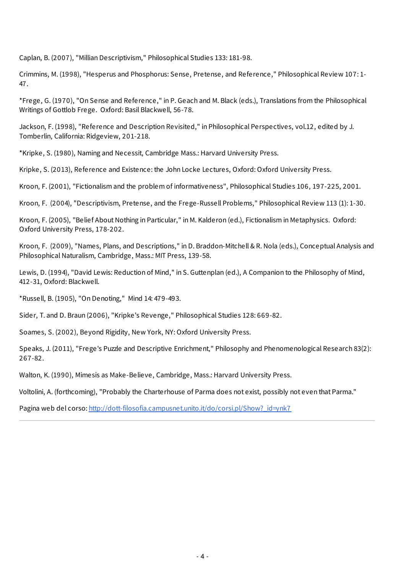<span id="page-4-0"></span>Caplan, B. (2007), "Millian Descriptivism," Philosophical Studies 133: 181-98.

Crimmins, M. (1998), "Hesperus and Phosphorus: Sense, Pretense, and Reference," Philosophical Review 107: 1- 47.

\*Frege, G. (1970), "On Sense and Reference," in P. Geach and M. Black (eds.), Translations from the Philosophical Writings of Gottlob Frege. Oxford: Basil Blackwell, 56-78.

Jackson, F. (1998), "Reference and Description Revisited," in Philosophical Perspectives, vol.12, edited by J. Tomberlin, California: Ridgeview, 201-218.

\*Kripke, S. (1980), Naming and Necessit, Cambridge Mass.: Harvard University Press.

Kripke, S. (2013), Reference and Existence: the John Locke Lectures, Oxford: Oxford University Press.

Kroon, F. (2001), "Fictionalism and the problem of informativeness", Philosophical Studies 106, 197-225, 2001.

Kroon, F. (2004), "Descriptivism, Pretense, and the Frege-Russell Problems," Philosophical Review 113 (1): 1-30.

Kroon, F. (2005), "Belief About Nothing in Particular," in M. Kalderon (ed.), Fictionalism in Metaphysics. Oxford: Oxford University Press, 178-202.

Kroon, F. (2009), "Names, Plans, and Descriptions," in D. Braddon-Mitchell & R. Nola (eds.), Conceptual Analysis and Philosophical Naturalism, Cambridge, Mass.: MIT Press, 139-58.

Lewis, D. (1994), "David Lewis: Reduction of Mind," in S. Guttenplan (ed.), A Companion to the Philosophy of Mind, 412-31, Oxford: Blackwell.

\*Russell, B. (1905), "On Denoting," Mind 14: 479-493.

Sider, T. and D. Braun (2006), "Kripke's Revenge," Philosophical Studies 128: 669-82.

Soames, S. (2002), Beyond Rigidity, New York, NY: Oxford University Press.

Speaks, J. (2011), "Frege's Puzzle and Descriptive Enrichment," Philosophy and Phenomenological Research 83(2): 267-82.

Walton, K. (1990), Mimesis as Make-Believe, Cambridge, Mass.: Harvard University Press.

Voltolini, A. (forthcoming), "Probably the Charterhouse of Parma does not exist, possibly not even that Parma."

Pagina web del corso: http://dott-filosofia.campusnet.unito.it/do/corsi.pl/Show? id=ynk7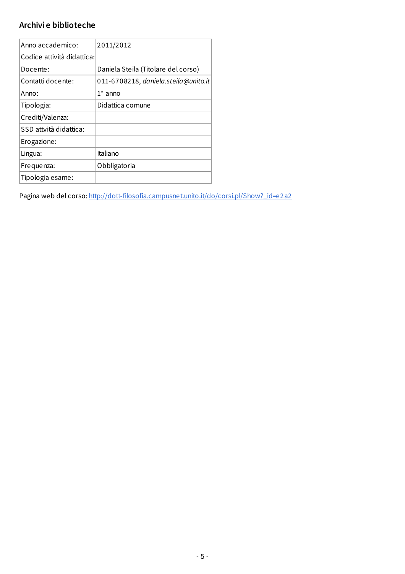## <span id="page-5-0"></span>**Archivi e biblioteche**

| Anno accademico:           | 2011/2012                            |
|----------------------------|--------------------------------------|
| Codice attività didattica: |                                      |
| Docente:                   | Daniela Steila (Titolare del corso)  |
| Contatti docente:          | 011-6708218, daniela.steila@unito.it |
| Anno:                      | $1^\circ$ anno                       |
| Tipologia:                 | Didattica comune                     |
| Crediti/Valenza:           |                                      |
| SSD attvità didattica:     |                                      |
| Erogazione:                |                                      |
| Lingua:                    | Italiano                             |
| Frequenza:                 | Obbligatoria                         |
| Tipologia esame:           |                                      |

Pagina web del corso: [http://dott-filosofia.campusnet.unito.it/do/corsi.pl/Show?\\_id=e2a2](http://dott-filosofia.campusnet.unito.it/do/corsi.pl/Show?_id=e2a2)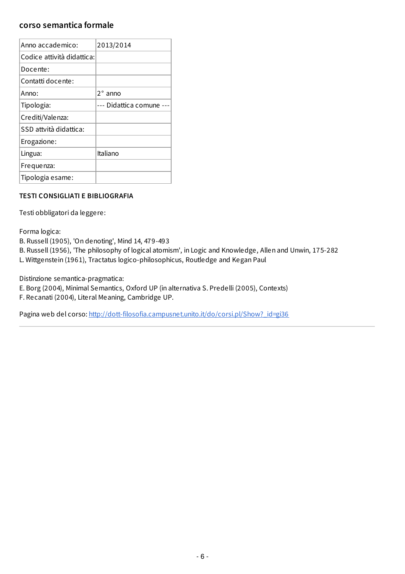#### <span id="page-6-0"></span>**corso semantica formale**

| Anno accademico:           | 2013/2014            |
|----------------------------|----------------------|
| Codice attività didattica: |                      |
| Docente:                   |                      |
| Contatti docente:          |                      |
| Anno:                      | $2^{\circ}$ anno     |
| Tipologia:                 | --- Didattica comune |
| Crediti/Valenza:           |                      |
| SSD attvità didattica:     |                      |
| Erogazione:                |                      |
| Lingua:                    | Italiano             |
| Frequenza:                 |                      |
| Tipologia esame:           |                      |

#### **TESTI CONSIGLIATI E BIBLIOGRAFIA**

Testi obbligatori da leggere:

Forma logica:

B. Russell (1905), 'On denoting', Mind 14, 479-493

B. Russell (1956), 'The philosophy of logical atomism', in Logic and Knowledge, Allen and Unwin, 175-282 L. Wittgenstein (1961), Tractatus logico-philosophicus, Routledge and Kegan Paul

Distinzione semantica-pragmatica:

E. Borg (2004), Minimal Semantics, Oxford UP (in alternativa S. Predelli (2005), Contexts) F. Recanati (2004), Literal Meaning, Cambridge UP.

Pagina web del corso: [http://dott-filosofia.campusnet.unito.it/do/corsi.pl/Show?\\_id=gi36](http://dott-filosofia.campusnet.unito.it/do/corsi.pl/Show?_id=gi36)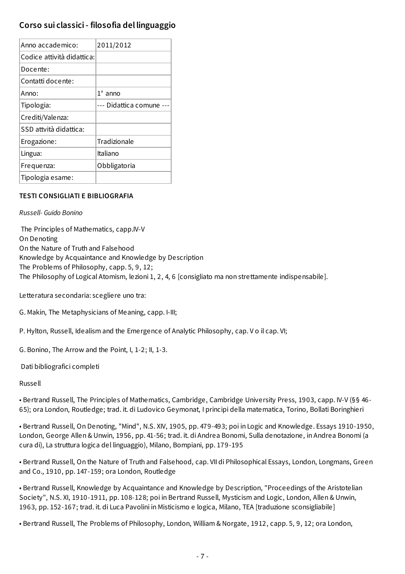## **Corso sui classici- filosofia del linguaggio**

| Anno accademico:           | 2011/2012            |
|----------------------------|----------------------|
| Codice attività didattica: |                      |
| Docente:                   |                      |
| Contatti docente:          |                      |
| Anno:                      | $1^\circ$ anno       |
| Tipologia:                 | --- Didattica comune |
| Crediti/Valenza:           |                      |
| SSD attvità didattica:     |                      |
| Erogazione:                | Tradizionale         |
| Lingua:                    | Italiano             |
| Frequenza:                 | Obbligatoria         |
| Tipologia esame:           |                      |

#### **TESTI CONSIGLIATI E BIBLIOGRAFIA**

#### *Russell- Guido Bonino*

The Principles of Mathematics, capp.IV-V On Denoting On the Nature of Truth and Falsehood Knowledge by Acquaintance and Knowledge by Description The Problems of Philosophy, capp. 5, 9, 12; The Philosophy of Logical Atomism, lezioni 1, 2, 4, 6 [consigliato ma non strettamente indispensabile].

Letteratura secondaria: scegliere uno tra:

G. Makin, The Metaphysicians of Meaning, capp. I-III;

P. Hylton, Russell, Idealism and the Emergence of Analytic Philosophy, cap. V o il cap. VI;

G. Bonino, The Arrow and the Point, I, 1-2; II, 1-3.

Dati bibliografici completi

Russell

• Bertrand Russell, The Principles of Mathematics, Cambridge, Cambridge University Press, 1903, capp. IV-V (§§ 46- 65); ora London, Routledge; trad. it. di Ludovico Geymonat, I principi della matematica, Torino, Bollati Boringhieri

• Bertrand Russell, On Denoting, "Mind", N.S. XIV, 1905, pp. 479-493; poi in Logic and Knowledge. Essays 1910-1950, London, George Allen & Unwin, 1956, pp. 41-56; trad. it. di Andrea Bonomi, Sulla denotazione, in Andrea Bonomi (a cura di), La struttura logica del linguaggio), Milano, Bompiani, pp. 179-195

• Bertrand Russell, On the Nature of Truth and Falsehood, cap. VII di Philosophical Essays, London, Longmans, Green and Co., 1910, pp. 147-159; ora London, Routledge

• Bertrand Russell, Knowledge by Acquaintance and Knowledge by Description, "Proceedings of the Aristotelian Society", N.S. XI, 1910-1911, pp. 108-128; poi in Bertrand Russell, Mysticism and Logic, London, Allen & Unwin, 1963, pp. 152-167; trad. it. di Luca Pavolini in Misticismo e logica, Milano, TEA [traduzione sconsigliabile]

• Bertrand Russell, The Problems of Philosophy, London, William & Norgate, 1912, capp. 5, 9, 12; ora London,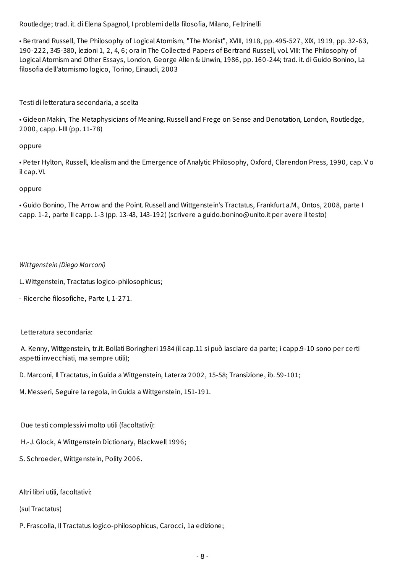Routledge; trad. it. di Elena Spagnol, I problemi della filosofia, Milano, Feltrinelli

• Bertrand Russell, The Philosophy of Logical Atomism, "The Monist", XVIII, 1918, pp. 495-527, XIX, 1919, pp. 32-63, 190-222, 345-380, lezioni 1, 2, 4, 6; ora in The Collected Papers of Bertrand Russell, vol. VIII: The Philosophy of Logical Atomism and Other Essays, London, George Allen & Unwin, 1986, pp. 160-244; trad. it. di Guido Bonino, La filosofia dell'atomismo logico, Torino, Einaudi, 2003

#### Testi di letteratura secondaria, a scelta

• Gideon Makin, The Metaphysicians of Meaning. Russell and Frege on Sense and Denotation, London, Routledge, 2000, capp. I-III (pp. 11-78)

#### oppure

• Peter Hylton, Russell, Idealism and the Emergence of Analytic Philosophy, Oxford, Clarendon Press, 1990, cap. V o il cap. VI.

#### oppure

• Guido Bonino, The Arrow and the Point. Russell and Wittgenstein's Tractatus, Frankfurt a.M., Ontos, 2008, parte I capp. 1-2, parte II capp. 1-3 (pp. 13-43, 143-192) (scrivere a guido.bonino@unito.it per avere il testo)

#### *Wittgenstein (Diego Marconi)*

L. Wittgenstein, Tractatus logico-philosophicus;

- Ricerche filosofiche, Parte I, 1-271.

#### Letteratura secondaria:

A. Kenny, Wittgenstein, tr.it. Bollati Boringheri 1984 (il cap.11 si può lasciare da parte; i capp.9-10 sono per certi aspetti invecchiati, ma sempre utili);

D. Marconi, Il Tractatus, in Guida a Wittgenstein, Laterza 2002, 15-58; Transizione, ib. 59-101;

M. Messeri, Seguire la regola, in Guida a Wittgenstein, 151-191.

Due testi complessivi molto utili (facoltativi):

H.-J. Glock, A Wittgenstein Dictionary, Blackwell 1996;

S. Schroeder, Wittgenstein, Polity 2006.

Altri libri utili, facoltativi:

(sul Tractatus)

P. Frascolla, Il Tractatus logico-philosophicus, Carocci, 1a edizione;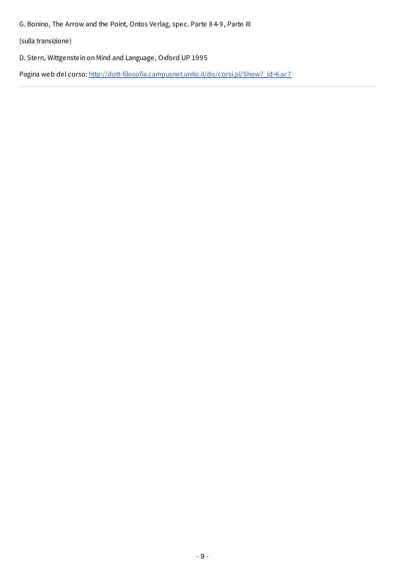<span id="page-9-0"></span>G. Bonino, The Arrow and the Point, Ontos Verlag, spec. Parte II 4-9, Parte III

(sulla transizione)

D. Stern, Wittgenstein on Mind and Language, Oxford UP 1995

Pagina web del corso: http://dott-filosofia.campusnet.unito.it/do/corsi.pl/Show? id=6ac7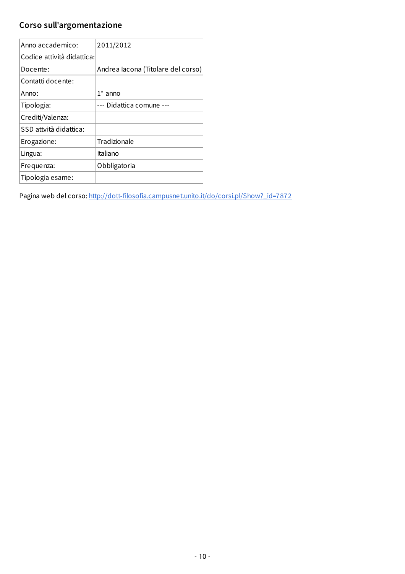# <span id="page-10-0"></span>**Corso sull'argomentazione**

| Anno accademico:           | 2011/2012                          |
|----------------------------|------------------------------------|
| Codice attività didattica: |                                    |
| Docente:                   | Andrea lacona (Titolare del corso) |
| Contatti docente:          |                                    |
| Anno:                      | $1^\circ$ anno                     |
| Tipologia:                 | --- Didattica comune ---           |
| Crediti/Valenza:           |                                    |
| SSD attvità didattica:     |                                    |
| Erogazione:                | Tradizionale                       |
| Lingua:                    | Italiano                           |
| Frequenza:                 | Obbligatoria                       |
| Tipologia esame:           |                                    |

Pagina web del corso: [http://dott-filosofia.campusnet.unito.it/do/corsi.pl/Show?\\_id=7872](http://dott-filosofia.campusnet.unito.it/do/corsi.pl/Show?_id=7872)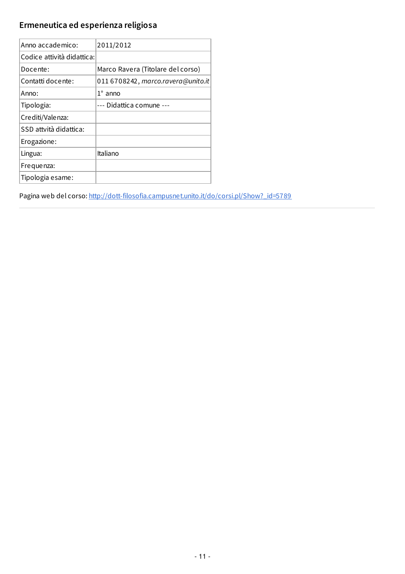# <span id="page-11-0"></span>**Ermeneutica ed esperienza religiosa**

| Anno accademico:           | 2011/2012                          |
|----------------------------|------------------------------------|
| Codice attività didattica: |                                    |
| Docente:                   | Marco Ravera (Titolare del corso)  |
| Contatti docente:          | 011 6708242, marco.ravera@unito.it |
| Anno:                      | $1^\circ$ anno                     |
| Tipologia:                 | --- Didattica comune ---           |
| Crediti/Valenza:           |                                    |
| SSD attvità didattica:     |                                    |
| Erogazione:                |                                    |
| Lingua:                    | Italiano                           |
| Frequenza:                 |                                    |
| Tipologia esame:           |                                    |

Pagina web del corso: [http://dott-filosofia.campusnet.unito.it/do/corsi.pl/Show?\\_id=5789](http://dott-filosofia.campusnet.unito.it/do/corsi.pl/Show?_id=5789)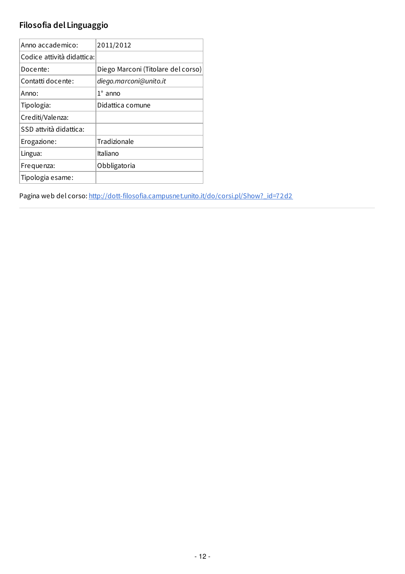# <span id="page-12-0"></span>**Filosofia del Linguaggio**

| Anno accademico:           | 2011/2012                          |
|----------------------------|------------------------------------|
| Codice attività didattica: |                                    |
| Docente:                   | Diego Marconi (Titolare del corso) |
| Contatti docente:          | diego.marconi@unito.it             |
| Anno:                      | $1^\circ$ anno                     |
| Tipologia:                 | Didattica comune                   |
| Crediti/Valenza:           |                                    |
| SSD attvità didattica:     |                                    |
| Erogazione:                | Tradizionale                       |
| Lingua:                    | Italiano                           |
| Frequenza:                 | Obbligatoria                       |
| Tipologia esame:           |                                    |

Pagina web del corso: [http://dott-filosofia.campusnet.unito.it/do/corsi.pl/Show?\\_id=72d2](http://dott-filosofia.campusnet.unito.it/do/corsi.pl/Show?_id=72d2)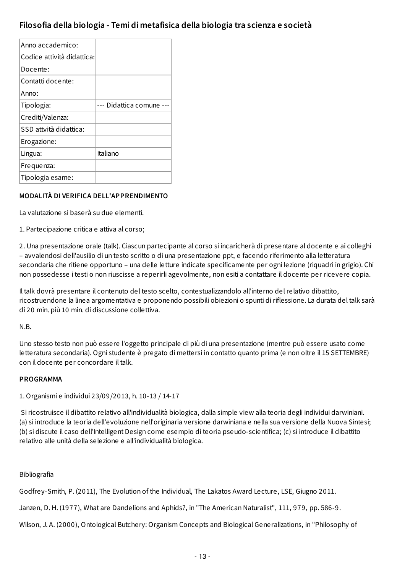## **Filosofia della biologia - Temi di metafisica della biologia tra scienza e società**

| Anno accademico:           |                      |
|----------------------------|----------------------|
| Codice attività didattica: |                      |
| Docente:                   |                      |
| Contatti docente:          |                      |
| Anno:                      |                      |
| Tipologia:                 | --- Didattica comune |
| Crediti/Valenza:           |                      |
| SSD attvità didattica:     |                      |
| Erogazione:                |                      |
| Lingua:                    | Italiano             |
| Frequenza:                 |                      |
| Tipologia esame:           |                      |

#### **MODALITÀ DI VERIFICA DELL'APPRENDIMENTO**

La valutazione si baserà su due elementi.

1. Partecipazione critica e attiva al corso;

2. Una presentazione orale (talk). Ciascun partecipante al corso si incaricherà di presentare al docente e ai colleghi – avvalendosi dell'ausilio di un testo scritto o di una presentazione ppt, e facendo riferimento alla letteratura secondaria che ritiene opportuno – una delle letture indicate specificamente per ogni lezione (riquadri in grigio). Chi non possedesse i testi o non riuscisse a reperirli agevolmente, non esiti a contattare il docente per ricevere copia.

Il talk dovrà presentare il contenuto del testo scelto, contestualizzandolo all'interno del relativo dibattito, ricostruendone la linea argomentativa e proponendo possibili obiezioni o spunti di riflessione. La durata del talk sarà di 20 min. più 10 min. di discussione collettiva.

N.B.

Uno stesso testo non può essere l'oggetto principale di più di una presentazione (mentre può essere usato come letteratura secondaria). Ogni studente è pregato di mettersi in contatto quanto prima (e non oltre il 15 SETTEMBRE) con il docente per concordare il talk.

#### **PROGRAMMA**

1. Organismi e individui 23/09/2013, h. 10-13 / 14-17

Si ricostruisce il dibattito relativo all'individualità biologica, dalla simple view alla teoria degli individui darwiniani. (a) si introduce la teoria dell'evoluzione nell'originaria versione darwiniana e nella sua versione della Nuova Sintesi; (b) si discute il caso dell'Intelligent Design come esempio di teoria pseudo-scientifica; (c) si introduce il dibattito relativo alle unità della selezione e all'individualità biologica.

#### Bibliografia

Godfrey-Smith, P. (2011), The Evolution of the Individual, The Lakatos Award Lecture, LSE, Giugno 2011.

Janzen, D. H. (1977), What are Dandelions and Aphids?, in "The American Naturalist", 111, 979, pp. 586-9.

Wilson, J. A. (2000), Ontological Butchery: Organism Concepts and Biological Generalizations, in "Philosophy of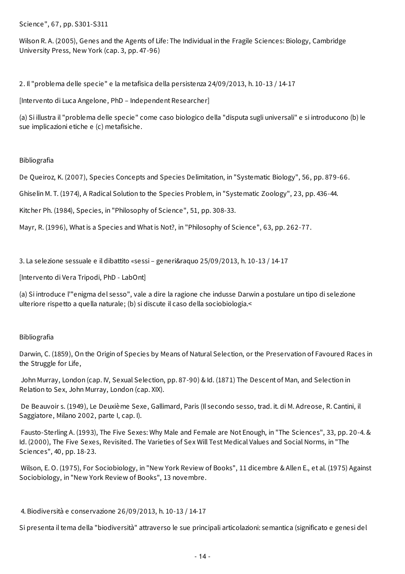Science", 67, pp. S301-S311

Wilson R. A. (2005), Genes and the Agents of Life: The Individual in the Fragile Sciences: Biology, Cambridge University Press, New York (cap. 3, pp. 47-96)

2. Il "problema delle specie" e la metafisica della persistenza 24/09/2013, h. 10-13 / 14-17

[Intervento di Luca Angelone, PhD – Independent Researcher]

(a) Si illustra il "problema delle specie" come caso biologico della "disputa sugli universali" e si introducono (b) le sue implicazioni etiche e (c) metafisiche.

#### Bibliografia

De Queiroz, K. (2007), Species Concepts and Species Delimitation, in "Systematic Biology", 56, pp. 879-66.

Ghiselin M. T. (1974), A Radical Solution to the Species Problem, in "Systematic Zoology", 23, pp. 436-44.

Kitcher Ph. (1984), Species, in "Philosophy of Science", 51, pp. 308-33.

Mayr, R. (1996), What is a Species and What is Not?, in "Philosophy of Science", 63, pp. 262-77.

3. La selezione sessuale e il dibattito «sessi – generi&raquo 25/09/2013, h. 10-13 / 14-17

[Intervento di Vera Tripodi, PhD - LabOnt]

(a) Si introduce l'"enigma del sesso", vale a dire la ragione che indusse Darwin a postulare un tipo di selezione ulteriore rispetto a quella naturale; (b) si discute il caso della sociobiologia.<

#### Bibliografia

Darwin, C. (1859), On the Origin of Species by Means of Natural Selection, or the Preservation of Favoured Races in the Struggle for Life,

John Murray, London (cap. IV, Sexual Selection, pp. 87-90) & Id. (1871) The Descent of Man, and Selection in Relation to Sex, John Murray, London (cap. XIX).

De Beauvoir s. (1949), Le Deuxième Sexe, Gallimard, Paris (Il secondo sesso, trad. it. di M. Adreose, R. Cantini, il Saggiatore, Milano 2002, parte I, cap. I).

Fausto-Sterling A. (1993), The Five Sexes: Why Male and Female are Not Enough, in "The Sciences", 33, pp. 20-4. & Id. (2000), The Five Sexes, Revisited. The Varieties of Sex Will Test Medical Values and Social Norms, in "The Sciences", 40, pp. 18-23.

Wilson, E. O. (1975), For Sociobiology, in "New York Review of Books", 11 dicembre & Allen E., et al. (1975) Against Sociobiology, in "New York Review of Books", 13 novembre.

4. Biodiversità e conservazione 26/09/2013, h. 10-13 / 14-17

Si presenta il tema della "biodiversità" attraverso le sue principali articolazioni: semantica (significato e genesi del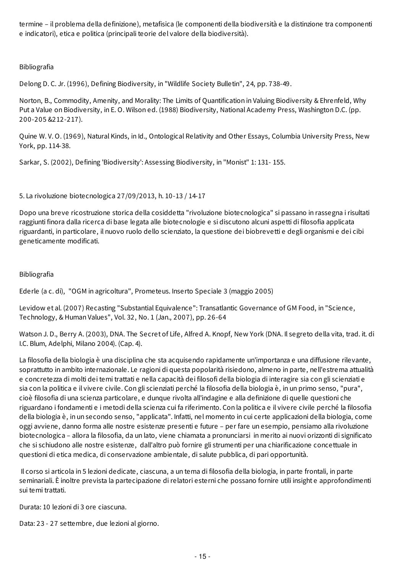termine – il problema della definizione), metafisica (le componenti della biodiversità e la distinzione tra componenti e indicatori), etica e politica (principali teorie del valore della biodiversità).

#### Bibliografia

Delong D. C. Jr. (1996), Defining Biodiversity, in "Wildlife Society Bulletin", 24, pp. 738-49.

Norton, B., Commodity, Amenity, and Morality: The Limits of Quantification in Valuing Biodiversity & Ehrenfeld, Why Put a Value on Biodiversity, in E. O. Wilson ed. (1988) Biodiversity, National Academy Press, Washington D.C. (pp. 200-205 &212-217).

Quine W. V. O. (1969), Natural Kinds, in Id., Ontological Relativity and Other Essays, Columbia University Press, New York, pp. 114-38.

Sarkar, S. (2002), Defining 'Biodiversity': Assessing Biodiversity, in "Monist" 1: 131- 155.

5. La rivoluzione biotecnologica 27/09/2013, h. 10-13 / 14-17

Dopo una breve ricostruzione storica della cosiddetta "rivoluzione biotecnologica" si passano in rassegna i risultati raggiunti finora dalla ricerca di base legata alle biotecnologie e si discutono alcuni aspetti di filosofia applicata riguardanti, in particolare, il nuovo ruolo dello scienziato, la questione dei biobrevetti e degli organismi e dei cibi geneticamente modificati.

#### Bibliografia

Ederle (a c. di), "OGM in agricoltura", Prometeus. Inserto Speciale 3 (maggio 2005)

Levidow et al. (2007) Recasting "Substantial Equivalence": Transatlantic Governance of GM Food, in "Science, Technology, & Human Values", Vol. 32, No. 1 (Jan., 2007), pp. 26-64

Watson J. D., Berry A. (2003), DNA. The Secret of Life, Alfred A. Knopf, New York (DNA. Il segreto della vita, trad. it. di I.C. Blum, Adelphi, Milano 2004). (Cap. 4).

La filosofia della biologia è una disciplina che sta acquisendo rapidamente un'importanza e una diffusione rilevante, soprattutto in ambito internazionale. Le ragioni di questa popolarità risiedono, almeno in parte, nell'estrema attualità e concretezza di molti dei temi trattati e nella capacità dei filosofi della biologia di interagire sia con gli scienziati e sia con la politica e il vivere civile. Con gli scienziati perché la filosofia della biologia è, in un primo senso, "pura", cioè filosofia di una scienza particolare, e dunque rivolta all'indagine e alla definizione di quelle questioni che riguardano i fondamenti e i metodi della scienza cui fa riferimento. Con la politica e il vivere civile perché la filosofia della biologia è, in un secondo senso, "applicata". Infatti, nel momento in cui certe applicazioni della biologia, come oggi avviene, danno forma alle nostre esistenze presenti e future – per fare un esempio, pensiamo alla rivoluzione biotecnologica – allora la filosofia, da un lato, viene chiamata a pronunciarsi in merito ai nuovi orizzonti di significato che si schiudono alle nostre esistenze, dall'altro può fornire gli strumenti per una chiarificazione concettuale in questioni di etica medica, di conservazione ambientale, di salute pubblica, di pari opportunità.

Il corso si articola in 5 lezioni dedicate, ciascuna, a un tema di filosofia della biologia, in parte frontali, in parte seminariali. È inoltre prevista la partecipazione di relatori esterni che possano fornire utili insight e approfondimenti sui temi trattati.

Durata: 10 lezioni di 3 ore ciascuna.

Data: 23 - 27 settembre, due lezioni al giorno.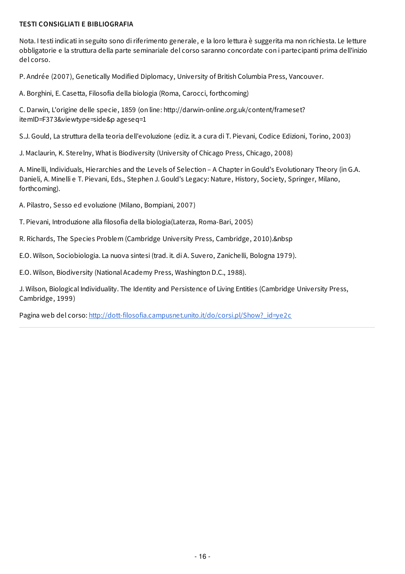#### <span id="page-16-0"></span>**TESTI CONSIGLIATI E BIBLIOGRAFIA**

Nota. I testi indicati in seguito sono di riferimento generale, e la loro lettura è suggerita ma non richiesta. Le letture obbligatorie e la struttura della parte seminariale del corso saranno concordate con i partecipanti prima dell'inizio del corso.

P. Andrée (2007), Genetically Modified Diplomacy, University of British Columbia Press, Vancouver.

A. Borghini, E. Casetta, Filosofia della biologia (Roma, Carocci, forthcoming)

C. Darwin, L'origine delle specie, 1859 (on line: http://darwin-online.org.uk/content/frameset? itemID=F373&viewtype=side&p ageseq=1

S.J. Gould, La struttura della teoria dell'evoluzione (ediz. it. a cura di T. Pievani, Codice Edizioni, Torino, 2003)

J. Maclaurin, K. Sterelny, What is Biodiversity (University of Chicago Press, Chicago, 2008)

A. Minelli, Individuals, Hierarchies and the Levels of Selection – A Chapter in Gould's Evolutionary Theory (in G.A. Danieli, A. Minelli e T. Pievani, Eds., Stephen J. Gould's Legacy: Nature, History, Society, Springer, Milano, forthcoming).

A. Pilastro, Sesso ed evoluzione (Milano, Bompiani, 2007)

T. Pievani, Introduzione alla filosofia della biologia(Laterza, Roma-Bari, 2005)

R. Richards, The Species Problem (Cambridge University Press, Cambridge, 2010).&nbsp

E.O. Wilson, Sociobiologia. La nuova sintesi (trad. it. di A. Suvero, Zanichelli, Bologna 1979).

E.O. Wilson, Biodiversity (National Academy Press, Washington D.C., 1988).

J. Wilson, Biological Individuality. The Identity and Persistence of Living Entities (Cambridge University Press, Cambridge, 1999)

Pagina web del corso: [http://dott-filosofia.campusnet.unito.it/do/corsi.pl/Show?\\_id=ye2c](http://dott-filosofia.campusnet.unito.it/do/corsi.pl/Show?_id=ye2c)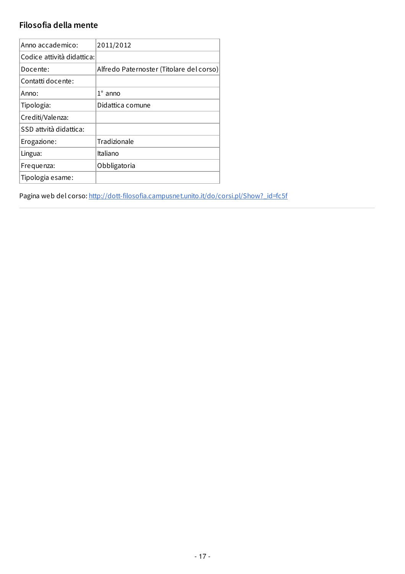# <span id="page-17-0"></span>**Filosofia della mente**

| Anno accademico:           | 2011/2012                                |
|----------------------------|------------------------------------------|
| Codice attività didattica: |                                          |
| Docente:                   | Alfredo Paternoster (Titolare del corso) |
| Contatti docente:          |                                          |
| Anno:                      | $1^\circ$ anno                           |
| Tipologia:                 | Didattica comune                         |
| Crediti/Valenza:           |                                          |
| SSD attvità didattica:     |                                          |
| Erogazione:                | Tradizionale                             |
| Lingua:                    | Italiano                                 |
| Frequenza:                 | Obbligatoria                             |
| Tipologia esame:           |                                          |

Pagina web del corso: [http://dott-filosofia.campusnet.unito.it/do/corsi.pl/Show?\\_id=fc5f](http://dott-filosofia.campusnet.unito.it/do/corsi.pl/Show?_id=fc5f)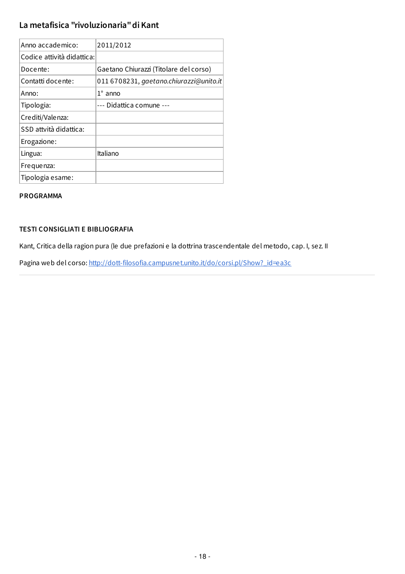## <span id="page-18-0"></span>**La metafisica "rivoluzionaria"di Kant**

| Anno accademico:           | 2011/2012                               |
|----------------------------|-----------------------------------------|
| Codice attività didattica: |                                         |
| Docente:                   | Gaetano Chiurazzi (Titolare del corso)  |
| Contatti docente:          | 011 6708231, gaetano.chiurazzi@unito.it |
| Anno:                      | $1^\circ$ anno                          |
| Tipologia:                 | --- Didattica comune ---                |
| Crediti/Valenza:           |                                         |
| SSD attvità didattica:     |                                         |
| Erogazione:                |                                         |
| Lingua:                    | Italiano                                |
| Frequenza:                 |                                         |
| Tipologia esame:           |                                         |

#### **PROGRAMMA**

#### **TESTI CONSIGLIATI E BIBLIOGRAFIA**

Kant, Critica della ragion pura (le due prefazioni e la dottrina trascendentale del metodo, cap. I, sez. II

Pagina web del corso: [http://dott-filosofia.campusnet.unito.it/do/corsi.pl/Show?\\_id=ea3c](http://dott-filosofia.campusnet.unito.it/do/corsi.pl/Show?_id=ea3c)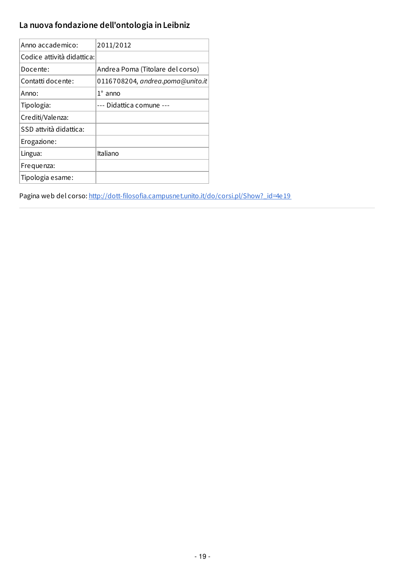# <span id="page-19-0"></span>**La nuova fondazione dell'ontologia in Leibniz**

| Anno accademico:           | 2011/2012                        |
|----------------------------|----------------------------------|
| Codice attività didattica: |                                  |
| Docente:                   | Andrea Poma (Titolare del corso) |
| Contatti docente:          | 0116708204, andrea.poma@unito.it |
| Anno:                      | $1^\circ$ anno                   |
| Tipologia:                 | --- Didattica comune ---         |
| Crediti/Valenza:           |                                  |
| SSD attvità didattica:     |                                  |
| Erogazione:                |                                  |
| Lingua:                    | Italiano                         |
| Frequenza:                 |                                  |
| Tipologia esame:           |                                  |
|                            |                                  |

Pagina web del corso: [http://dott-filosofia.campusnet.unito.it/do/corsi.pl/Show?\\_id=4e19](http://dott-filosofia.campusnet.unito.it/do/corsi.pl/Show?_id=4e19)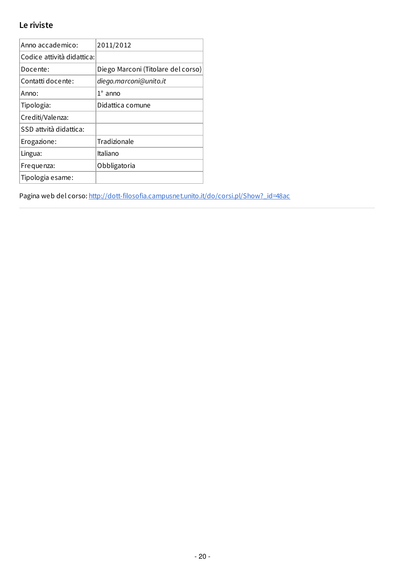# <span id="page-20-0"></span>**Le riviste**

| Anno accademico:           | 2011/2012                          |
|----------------------------|------------------------------------|
| Codice attività didattica: |                                    |
| Docente:                   | Diego Marconi (Titolare del corso) |
| Contatti docente:          | diego.marconi@unito.it             |
| Anno:                      | $1^\circ$ anno                     |
| Tipologia:                 | Didattica comune                   |
| Crediti/Valenza:           |                                    |
| SSD attvità didattica:     |                                    |
| Erogazione:                | Tradizionale                       |
| Lingua:                    | Italiano                           |
| Frequenza:                 | Obbligatoria                       |
| Tipologia esame:           |                                    |

Pagina web del corso: [http://dott-filosofia.campusnet.unito.it/do/corsi.pl/Show?\\_id=48ac](http://dott-filosofia.campusnet.unito.it/do/corsi.pl/Show?_id=48ac)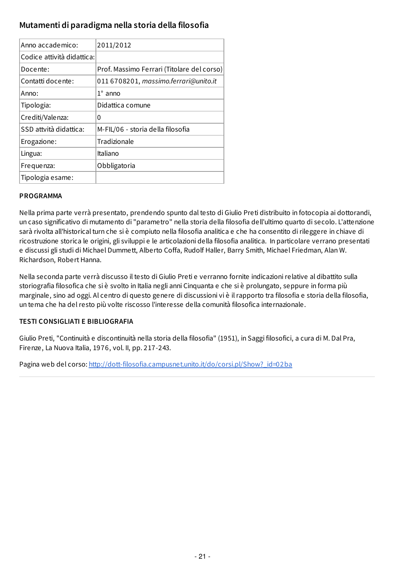## <span id="page-21-0"></span>**Mutamenti di paradigma nella storia della filosofia**

| Anno accademico:           | 2011/2012                                  |
|----------------------------|--------------------------------------------|
| Codice attività didattica: |                                            |
| Docente:                   | Prof. Massimo Ferrari (Titolare del corso) |
| Contatti docente:          | 011 6708201, massimo.ferrari@unito.it      |
| Anno:                      | $1^\circ$ anno                             |
| Tipologia:                 | Didattica comune                           |
| Crediti/Valenza:           | 0                                          |
| SSD attvità didattica:     | M-FIL/06 - storia della filosofia          |
| Erogazione:                | Tradizionale                               |
| Lingua:                    | Italiano                                   |
| Frequenza:                 | Obbligatoria                               |
| Tipologia esame:           |                                            |

#### **PROGRAMMA**

Nella prima parte verrà presentato, prendendo spunto dal testo di Giulio Preti distribuito in fotocopia ai dottorandi, un caso significativo di mutamento di "parametro" nella storia della filosofia dell'ultimo quarto di secolo. L'attenzione sarà rivolta all'historical turn che si è compiuto nella filosofia analitica e che ha consentito di rileggere in chiave di ricostruzione storica le origini, gli sviluppi e le articolazioni della filosofia analitica. In particolare verrano presentati e discussi gli studi di Michael Dummett, Alberto Coffa, Rudolf Haller, Barry Smith, Michael Friedman, Alan W. Richardson, Robert Hanna.

Nella seconda parte verrà discusso il testo di Giulio Preti e verranno fornite indicazioni relative al dibattito sulla storiografia filosofica che si è svolto in Italia negli anni Cinquanta e che si è prolungato, seppure in forma più marginale, sino ad oggi. Al centro di questo genere di discussioni vi è il rapporto tra filosofia e storia della filosofia, un tema che ha del resto più volte riscosso l'interesse della comunità filosofica internazionale.

#### **TESTI CONSIGLIATI E BIBLIOGRAFIA**

Giulio Preti, "Continuità e discontinuità nella storia della filosofia" (1951), in Saggi filosofici, a cura di M. Dal Pra, Firenze, La Nuova Italia, 1976, vol. II, pp. 217-243.

Pagina web del corso: http://dott-filosofia.campusnet.unito.it/do/corsi.pl/Show? id=02ba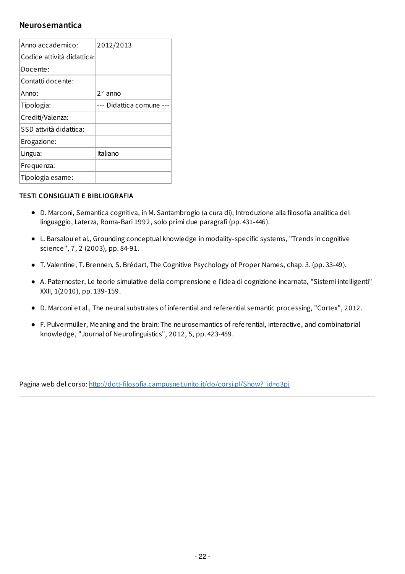#### <span id="page-22-0"></span>**Neurosemantica**

| Anno accademico:           | 2012/2013            |
|----------------------------|----------------------|
| Codice attività didattica: |                      |
| Docente:                   |                      |
| Contatti docente:          |                      |
| Anno:                      | $2^\circ$ anno       |
| Tipologia:                 | --- Didattica comune |
| Crediti/Valenza:           |                      |
| SSD attvità didattica:     |                      |
| Erogazione:                |                      |
| Lingua:                    | Italiano             |
| Frequenza:                 |                      |
| Tipologia esame:           |                      |

#### **TESTI CONSIGLIATI E BIBLIOGRAFIA**

- D. Marconi, Semantica cognitiva, in M. Santambrogio (a cura di), Introduzione alla filosofia analitica del linguaggio, Laterza, Roma-Bari 1992, solo primi due paragrafi (pp. 431-446).
- L. Barsalou et al., Grounding conceptual knowledge in modality-specific systems, "Trends in cognitive science", 7, 2 (2003), pp. 84-91.
- T. Valentine, T. Brennen, S. Brédart, The Cognitive Psychology of Proper Names, chap. 3. (pp. 33-49).
- A. Paternoster, Le teorie simulative della comprensione e l'idea di cognizione incarnata, "Sistemi intelligenti" XXII, 1(2010), pp. 139-159.
- D. Marconi et al., The neural substrates of inferential and referential semantic processing, "Cortex", 2012.
- F. Pulvermüller, Meaning and the brain: The neurosemantics of referential, interactive, and combinatorial knowledge, "Journal of Neurolinguistics", 2012, 5, pp. 423-459.

Pagina web del corso: [http://dott-filosofia.campusnet.unito.it/do/corsi.pl/Show?\\_id=q3pj](http://dott-filosofia.campusnet.unito.it/do/corsi.pl/Show?_id=q3pj)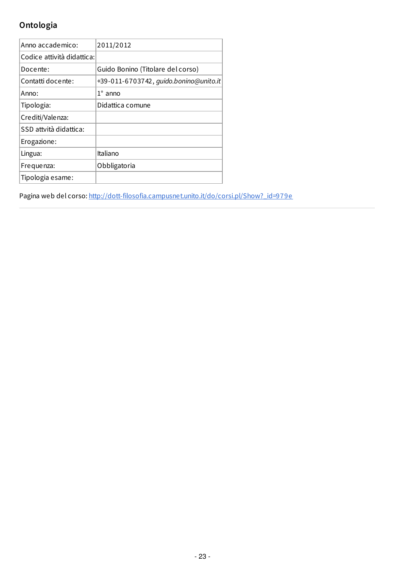# <span id="page-23-0"></span>**Ontologia**

| Anno accademico:           | 2011/2012                              |
|----------------------------|----------------------------------------|
| Codice attività didattica: |                                        |
| Docente:                   | Guido Bonino (Titolare del corso)      |
| Contatti docente:          | +39-011-6703742, guido.bonino@unito.it |
| Anno:                      | $1^\circ$ anno                         |
| Tipologia:                 | Didattica comune                       |
| Crediti/Valenza:           |                                        |
| SSD attvità didattica:     |                                        |
| Erogazione:                |                                        |
| Lingua:                    | Italiano                               |
| Frequenza:                 | Obbligatoria                           |
| Tipologia esame:           |                                        |

Pagina web del corso: [http://dott-filosofia.campusnet.unito.it/do/corsi.pl/Show?\\_id=979e](http://dott-filosofia.campusnet.unito.it/do/corsi.pl/Show?_id=979e)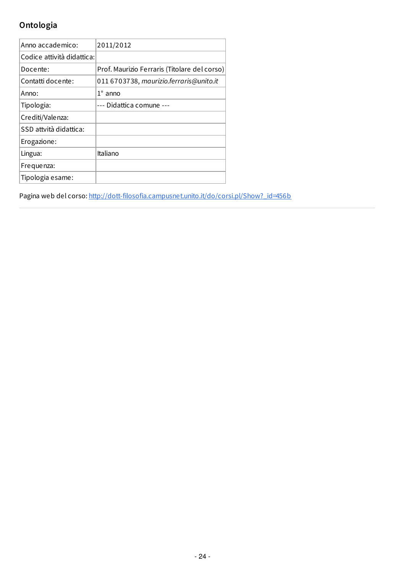# <span id="page-24-0"></span>**Ontologia**

| Anno accademico:           | 2011/2012                                    |
|----------------------------|----------------------------------------------|
| Codice attività didattica: |                                              |
| Docente:                   | Prof. Maurizio Ferraris (Titolare del corso) |
| Contatti docente:          | 011 6703738, maurizio.ferraris@unito.it      |
| Anno:                      | $1^\circ$ anno                               |
| Tipologia:                 | --- Didattica comune ---                     |
| Crediti/Valenza:           |                                              |
| SSD attvità didattica:     |                                              |
| Erogazione:                |                                              |
| Lingua:                    | Italiano                                     |
| Frequenza:                 |                                              |
| Tipologia esame:           |                                              |

Pagina web del corso: [http://dott-filosofia.campusnet.unito.it/do/corsi.pl/Show?\\_id=456b](http://dott-filosofia.campusnet.unito.it/do/corsi.pl/Show?_id=456b)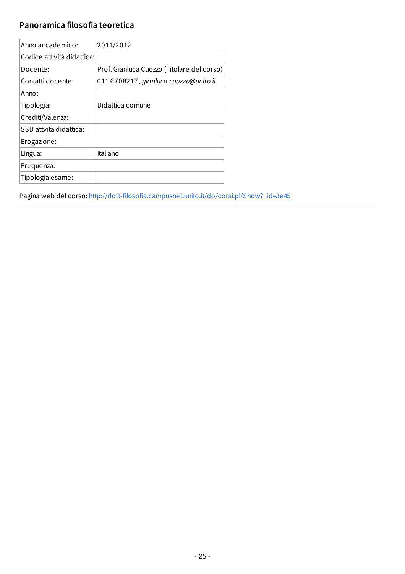# <span id="page-25-0"></span>**Panoramica filosofia teoretica**

| Anno accademico:           | 2011/2012                                  |
|----------------------------|--------------------------------------------|
| Codice attività didattica: |                                            |
| Docente:                   | Prof. Gianluca Cuozzo (Titolare del corso) |
| Contatti docente:          | 011 6708217, gianluca.cuozzo@unito.it      |
| Anno:                      |                                            |
| Tipologia:                 | Didattica comune                           |
| Crediti/Valenza:           |                                            |
| SSD attvità didattica:     |                                            |
| Erogazione:                |                                            |
| Lingua:                    | Italiano                                   |
| Frequenza:                 |                                            |
| Tipologia esame:           |                                            |

Pagina web del corso: [http://dott-filosofia.campusnet.unito.it/do/corsi.pl/Show?\\_id=3e45](http://dott-filosofia.campusnet.unito.it/do/corsi.pl/Show?_id=3e45)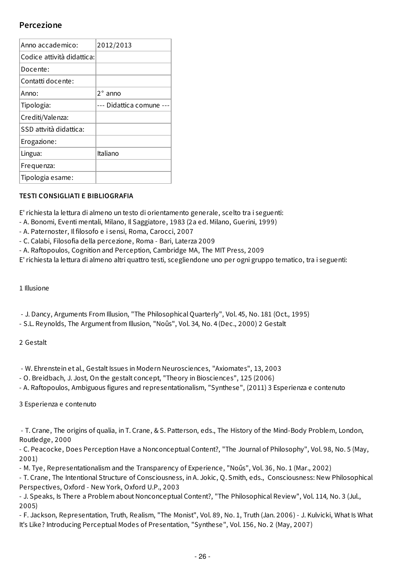### **Percezione**

| Anno accademico:           | 2012/2013            |
|----------------------------|----------------------|
| Codice attività didattica: |                      |
| Docente:                   |                      |
| Contatti docente:          |                      |
| Anno:                      | $2^{\circ}$ anno     |
| Tipologia:                 | --- Didattica comune |
| Crediti/Valenza:           |                      |
| SSD attvità didattica:     |                      |
| Erogazione:                |                      |
| Lingua:                    | Italiano             |
| Frequenza:                 |                      |
| Tipologia esame:           |                      |

#### **TESTI CONSIGLIATI E BIBLIOGRAFIA**

E' richiesta la lettura di almeno un testo di orientamento generale, scelto tra i seguenti:

- A. Bonomi, Eventi mentali, Milano, Il Saggiatore, 1983 (2a ed. Milano, Guerini, 1999)
- A. Paternoster, Il filosofo e i sensi, Roma, Carocci, 2007
- C. Calabi, Filosofia della percezione, Roma Bari, Laterza 2009
- A. Raftopoulos, Cognition and Perception, Cambridge MA, The MIT Press, 2009

E' richiesta la lettura di almeno altri quattro testi, scegliendone uno per ogni gruppo tematico, tra i seguenti:

1 Illusione

- J. Dancy, Arguments From Illusion, "The Philosophical Quarterly", Vol. 45, No. 181 (Oct., 1995)

- S.L. Reynolds, The Argument from Illusion, "Noûs", Vol. 34, No. 4 (Dec., 2000) 2 Gestalt

2 Gestalt

- W. Ehrenstein et al., Gestalt Issues in Modern Neurosciences, "Axiomates", 13, 2003

- O. Breidbach, J. Jost, On the gestalt concept, "Theory in Biosciences", 125 (2006)

- A. Raftopoulos, Ambiguous figures and representationalism, "Synthese", (2011) 3 Esperienza e contenuto

3 Esperienza e contenuto

- T. Crane, The origins of qualia, in T. Crane, & S. Patterson, eds., The History of the Mind-Body Problem, London, Routledge, 2000

- C. Peacocke, Does Perception Have a Nonconceptual Content?, "The Journal of Philosophy", Vol. 98, No. 5 (May, 2001)

- M. Tye, Representationalism and the Transparency of Experience, "Noûs", Vol. 36, No. 1 (Mar., 2002)

- T. Crane, The Intentional Structure of Consciousness, in A. Jokic, Q. Smith, eds., Consciousness: New Philosophical Perspectives, Oxford - New York, Oxford U.P., 2003

- J. Speaks, Is There a Problem about Nonconceptual Content?, "The Philosophical Review", Vol. 114, No. 3 (Jul., 2005)

- F. Jackson, Representation, Truth, Realism, "The Monist", Vol. 89, No. 1, Truth (Jan. 2006) - J. Kulvicki, What Is What It's Like? Introducing Perceptual Modes of Presentation, "Synthese", Vol. 156, No. 2 (May, 2007)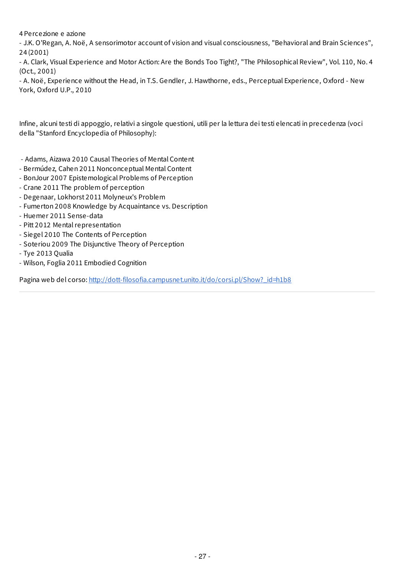<span id="page-27-0"></span>4 Percezione e azione

- J.K. O'Regan, A. Noë, A sensorimotor account of vision and visual consciousness, "Behavioral and Brain Sciences", 24 (2001)

- A. Clark, Visual Experience and Motor Action: Are the Bonds Too Tight?, "The Philosophical Review", Vol. 110, No. 4 (Oct., 2001)

- A. Noë, Experience without the Head, in T.S. Gendler, J. Hawthorne, eds., Perceptual Experience, Oxford - New York, Oxford U.P., 2010

Infine, alcuni testi di appoggio, relativi a singole questioni, utili per la lettura dei testi elencati in precedenza (voci della "Stanford Encyclopedia of Philosophy):

- Adams, Aizawa 2010 Causal Theories of Mental Content
- Bermúdez, Cahen 2011 Nonconceptual Mental Content
- BonJour 2007 Epistemological Problems of Perception
- Crane 2011 The problem of perception
- Degenaar, Lokhorst 2011 Molyneux's Problem
- Fumerton 2008 Knowledge by Acquaintance vs. Description
- Huemer 2011 Sense-data
- Pitt 2012 Mental representation
- Siegel 2010 The Contents of Perception
- Soteriou 2009 The Disjunctive Theory of Perception
- Tye 2013 Qualia
- Wilson, Foglia 2011 Embodied Cognition

Pagina web del corso: http://dott-filosofia.campusnet.unito.it/do/corsi.pl/Show? id=h1b8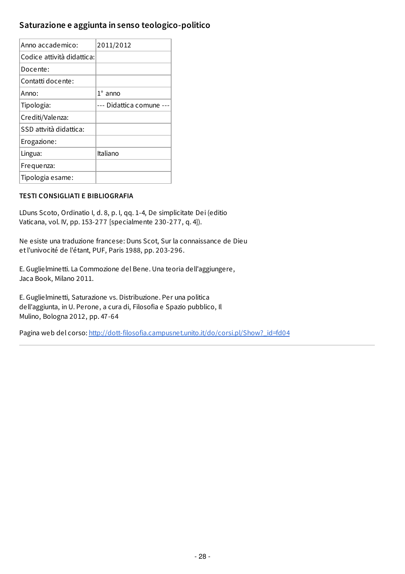## <span id="page-28-0"></span>**Saturazione e aggiunta in senso teologico-politico**

| Anno accademico:           | 2011/2012                |
|----------------------------|--------------------------|
| Codice attività didattica: |                          |
| Docente:                   |                          |
| Contatti docente:          |                          |
| Anno:                      | $1^\circ$ anno           |
| Tipologia:                 | --- Didattica comune --- |
| Crediti/Valenza:           |                          |
| SSD attvità didattica:     |                          |
| Erogazione:                |                          |
| Lingua:                    | Italiano                 |
| Frequenza:                 |                          |
| Tipologia esame:           |                          |

#### **TESTI CONSIGLIATI E BIBLIOGRAFIA**

LDuns Scoto, Ordinatio I, d. 8, p. I, qq. 1-4, De simplicitate Dei (editio Vaticana, vol. IV, pp. 153-277 [specialmente 230-277, q. 4]).

Ne esiste una traduzione francese: Duns Scot, Sur la connaissance de Dieu etl'univocité de l'étant, PUF, Paris 1988, pp. 203-296.

E. Guglielminetti. La Commozione del Bene. Una teoria dell'aggiungere, Jaca Book, Milano 2011.

E. Guglielminetti, Saturazione vs. Distribuzione. Per una politica dell'aggiunta, in U. Perone, a cura di, Filosofia e Spazio pubblico, Il Mulino, Bologna 2012, pp. 47-64

Pagina web del corso: [http://dott-filosofia.campusnet.unito.it/do/corsi.pl/Show?\\_id=fd04](http://dott-filosofia.campusnet.unito.it/do/corsi.pl/Show?_id=fd04)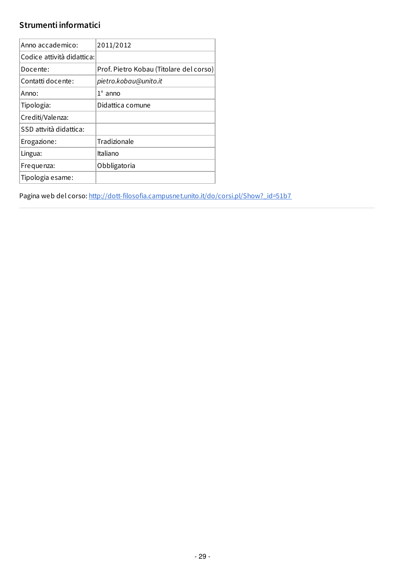# **Strumenti informatici**

| Anno accademico:           | 2011/2012                               |
|----------------------------|-----------------------------------------|
| Codice attività didattica: |                                         |
| Docente:                   | Prof. Pietro Kobau (Titolare del corso) |
| Contatti docente:          | pietro.kobau@unito.it                   |
| Anno:                      | $1^\circ$ anno                          |
| Tipologia:                 | Didattica comune                        |
| Crediti/Valenza:           |                                         |
| SSD attvità didattica:     |                                         |
| Erogazione:                | Tradizionale                            |
| Lingua:                    | Italiano                                |
| Frequenza:                 | Obbligatoria                            |
| Tipologia esame:           |                                         |

Pagina web del corso: [http://dott-filosofia.campusnet.unito.it/do/corsi.pl/Show?\\_id=51b7](http://dott-filosofia.campusnet.unito.it/do/corsi.pl/Show?_id=51b7)